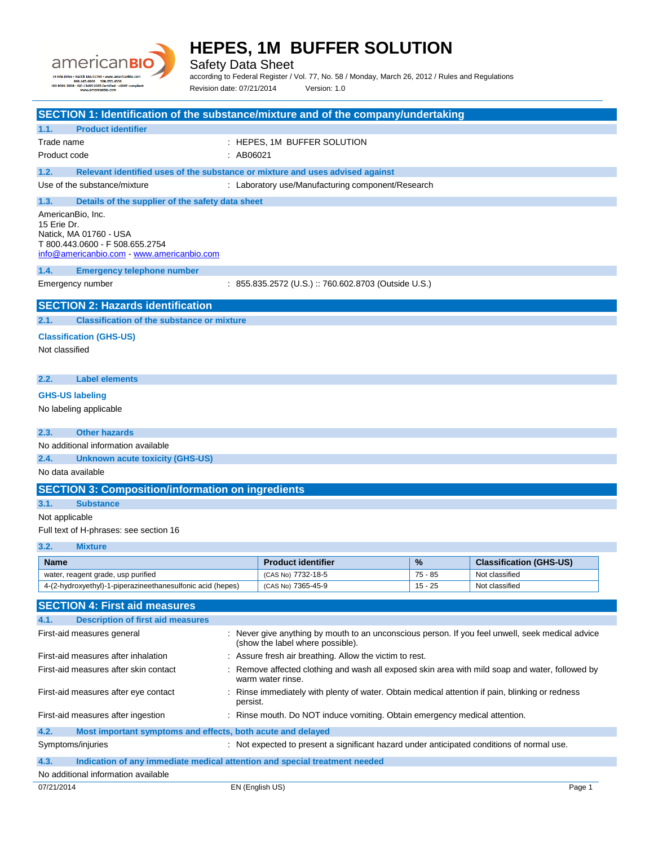

Safety Data Sheet

according to Federal Register / Vol. 77, No. 58 / Monday, March 26, 2012 / Rules and Regulations Revision date: 07/21/2014 Version: 1.0

| SECTION 1: Identification of the substance/mixture and of the company/undertaking                                         |                                                                                                                                      |                |                                                  |
|---------------------------------------------------------------------------------------------------------------------------|--------------------------------------------------------------------------------------------------------------------------------------|----------------|--------------------------------------------------|
| <b>Product identifier</b><br>1.1.                                                                                         |                                                                                                                                      |                |                                                  |
| Trade name                                                                                                                | : HEPES, 1M BUFFER SOLUTION                                                                                                          |                |                                                  |
| Product code<br>:AB06021                                                                                                  |                                                                                                                                      |                |                                                  |
| Relevant identified uses of the substance or mixture and uses advised against<br>1.2.                                     |                                                                                                                                      |                |                                                  |
| Use of the substance/mixture                                                                                              | : Laboratory use/Manufacturing component/Research                                                                                    |                |                                                  |
| 1.3.<br>Details of the supplier of the safety data sheet                                                                  |                                                                                                                                      |                |                                                  |
| AmericanBio, Inc.                                                                                                         |                                                                                                                                      |                |                                                  |
| 15 Erie Dr.                                                                                                               |                                                                                                                                      |                |                                                  |
| Natick, MA 01760 - USA                                                                                                    |                                                                                                                                      |                |                                                  |
| T 800.443.0600 - F 508.655.2754<br>info@americanbio.com www.americanbio.com                                               |                                                                                                                                      |                |                                                  |
| 1.4.                                                                                                                      |                                                                                                                                      |                |                                                  |
| <b>Emergency telephone number</b>                                                                                         |                                                                                                                                      |                |                                                  |
| Emergency number                                                                                                          | : 855.835.2572 (U.S.) :: 760.602.8703 (Outside U.S.)                                                                                 |                |                                                  |
| <b>SECTION 2: Hazards identification</b>                                                                                  |                                                                                                                                      |                |                                                  |
| <b>Classification of the substance or mixture</b><br>2.1.                                                                 |                                                                                                                                      |                |                                                  |
|                                                                                                                           |                                                                                                                                      |                |                                                  |
| <b>Classification (GHS-US)</b><br>Not classified                                                                          |                                                                                                                                      |                |                                                  |
|                                                                                                                           |                                                                                                                                      |                |                                                  |
|                                                                                                                           |                                                                                                                                      |                |                                                  |
| <b>Label elements</b><br>2.2.                                                                                             |                                                                                                                                      |                |                                                  |
| <b>GHS-US labeling</b>                                                                                                    |                                                                                                                                      |                |                                                  |
| No labeling applicable                                                                                                    |                                                                                                                                      |                |                                                  |
|                                                                                                                           |                                                                                                                                      |                |                                                  |
| <b>Other hazards</b><br>2.3.                                                                                              |                                                                                                                                      |                |                                                  |
| No additional information available                                                                                       |                                                                                                                                      |                |                                                  |
| 2.4.<br><b>Unknown acute toxicity (GHS-US)</b>                                                                            |                                                                                                                                      |                |                                                  |
| No data available                                                                                                         |                                                                                                                                      |                |                                                  |
| <b>SECTION 3: Composition/information on ingredients</b>                                                                  |                                                                                                                                      |                |                                                  |
| 3.1.<br><b>Substance</b>                                                                                                  |                                                                                                                                      |                |                                                  |
| Not applicable                                                                                                            |                                                                                                                                      |                |                                                  |
| Full text of H-phrases: see section 16                                                                                    |                                                                                                                                      |                |                                                  |
| 3.2.<br><b>Mixture</b>                                                                                                    |                                                                                                                                      |                |                                                  |
|                                                                                                                           |                                                                                                                                      |                |                                                  |
| Name<br>water, reagent grade, usp purified                                                                                | <b>Product identifier</b><br>(CAS No) 7732-18-5                                                                                      | %<br>$75 - 85$ | <b>Classification (GHS-US)</b><br>Not classified |
| 4-(2-hydroxyethyl)-1-piperazineethanesulfonic acid (hepes)                                                                | (CAS No) 7365-45-9                                                                                                                   | $15 - 25$      | Not classified                                   |
|                                                                                                                           |                                                                                                                                      |                |                                                  |
| <b>SECTION 4: First aid measures</b>                                                                                      |                                                                                                                                      |                |                                                  |
| 4.1.<br><b>Description of first aid measures</b>                                                                          |                                                                                                                                      |                |                                                  |
| First-aid measures general                                                                                                | : Never give anything by mouth to an unconscious person. If you feel unwell, seek medical advice<br>(show the label where possible). |                |                                                  |
| First-aid measures after inhalation                                                                                       | : Assure fresh air breathing. Allow the victim to rest.                                                                              |                |                                                  |
| First-aid measures after skin contact                                                                                     | Remove affected clothing and wash all exposed skin area with mild soap and water, followed by<br>warm water rinse.                   |                |                                                  |
| First-aid measures after eye contact<br>persist.                                                                          | : Rinse immediately with plenty of water. Obtain medical attention if pain, blinking or redness                                      |                |                                                  |
| First-aid measures after ingestion                                                                                        | : Rinse mouth. Do NOT induce vomiting. Obtain emergency medical attention.                                                           |                |                                                  |
| 4.2.<br>Most important symptoms and effects, both acute and delayed                                                       |                                                                                                                                      |                |                                                  |
| Symptoms/injuries                                                                                                         | : Not expected to present a significant hazard under anticipated conditions of normal use.                                           |                |                                                  |
|                                                                                                                           |                                                                                                                                      |                |                                                  |
| 4.3.<br>Indication of any immediate medical attention and special treatment needed<br>No additional information available |                                                                                                                                      |                |                                                  |
|                                                                                                                           |                                                                                                                                      |                |                                                  |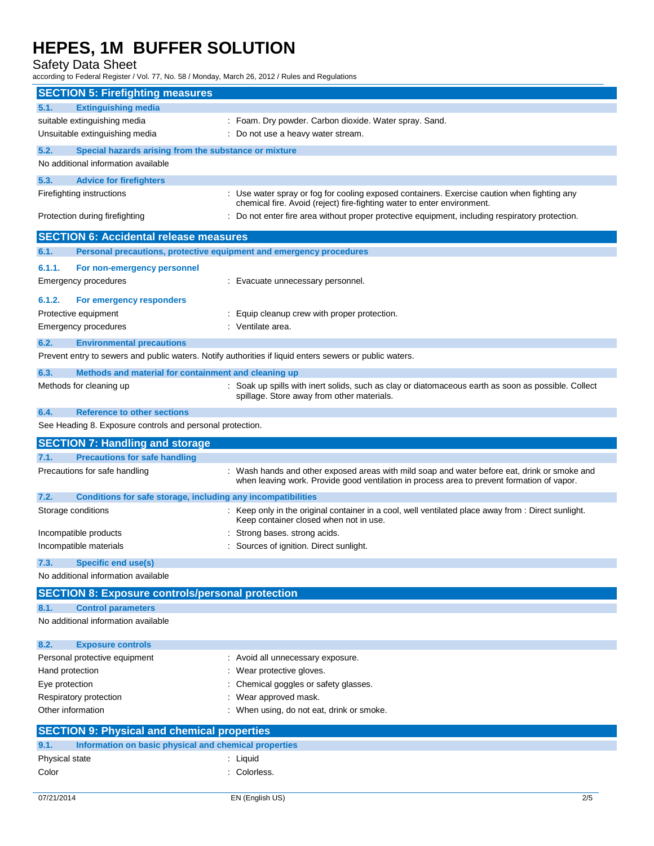Safety Data Sheet

according to Federal Register / Vol. 77, No. 58 / Monday, March 26, 2012 / Rules and Regulations

|                                     | <b>SECTION 5: Firefighting measures</b>                      |                                                                                                                                                                                            |
|-------------------------------------|--------------------------------------------------------------|--------------------------------------------------------------------------------------------------------------------------------------------------------------------------------------------|
| <b>Extinguishing media</b><br>5.1.  |                                                              |                                                                                                                                                                                            |
| suitable extinguishing media        |                                                              | : Foam. Dry powder. Carbon dioxide. Water spray. Sand.                                                                                                                                     |
| Unsuitable extinguishing media      |                                                              | : Do not use a heavy water stream.                                                                                                                                                         |
| 5.2.                                | Special hazards arising from the substance or mixture        |                                                                                                                                                                                            |
| No additional information available |                                                              |                                                                                                                                                                                            |
| 5.3.                                | <b>Advice for firefighters</b>                               |                                                                                                                                                                                            |
| Firefighting instructions           |                                                              | : Use water spray or fog for cooling exposed containers. Exercise caution when fighting any                                                                                                |
| Protection during firefighting      |                                                              | chemical fire. Avoid (reject) fire-fighting water to enter environment.<br>: Do not enter fire area without proper protective equipment, including respiratory protection.                 |
|                                     | <b>SECTION 6: Accidental release measures</b>                |                                                                                                                                                                                            |
| 6.1.                                |                                                              | Personal precautions, protective equipment and emergency procedures                                                                                                                        |
| 6.1.1.                              | For non-emergency personnel                                  |                                                                                                                                                                                            |
| Emergency procedures                |                                                              | : Evacuate unnecessary personnel.                                                                                                                                                          |
|                                     |                                                              |                                                                                                                                                                                            |
| 6.1.2.<br>Protective equipment      | For emergency responders                                     | Equip cleanup crew with proper protection.                                                                                                                                                 |
| Emergency procedures                |                                                              | : Ventilate area.                                                                                                                                                                          |
|                                     |                                                              |                                                                                                                                                                                            |
| 6.2.                                | <b>Environmental precautions</b>                             | Prevent entry to sewers and public waters. Notify authorities if liquid enters sewers or public waters.                                                                                    |
|                                     |                                                              |                                                                                                                                                                                            |
| 6.3.<br>Methods for cleaning up     | Methods and material for containment and cleaning up         |                                                                                                                                                                                            |
|                                     |                                                              | : Soak up spills with inert solids, such as clay or diatomaceous earth as soon as possible. Collect<br>spillage. Store away from other materials.                                          |
| 6.4.                                | <b>Reference to other sections</b>                           |                                                                                                                                                                                            |
|                                     | See Heading 8. Exposure controls and personal protection.    |                                                                                                                                                                                            |
|                                     |                                                              |                                                                                                                                                                                            |
|                                     | <b>SECTION 7: Handling and storage</b>                       |                                                                                                                                                                                            |
| 7.1.                                | <b>Precautions for safe handling</b>                         |                                                                                                                                                                                            |
| Precautions for safe handling       |                                                              | : Wash hands and other exposed areas with mild soap and water before eat, drink or smoke and<br>when leaving work. Provide good ventilation in process area to prevent formation of vapor. |
| 7.2.                                | Conditions for safe storage, including any incompatibilities |                                                                                                                                                                                            |
| Storage conditions                  |                                                              | : Keep only in the original container in a cool, well ventilated place away from : Direct sunlight.<br>Keep container closed when not in use.                                              |
| Incompatible products               |                                                              | Strong bases. strong acids.                                                                                                                                                                |
| Incompatible materials              |                                                              | Sources of ignition. Direct sunlight.                                                                                                                                                      |
| <b>Specific end use(s)</b><br>7.3.  |                                                              |                                                                                                                                                                                            |
| No additional information available |                                                              |                                                                                                                                                                                            |
|                                     | <b>SECTION 8: Exposure controls/personal protection</b>      |                                                                                                                                                                                            |
| 8.1.<br><b>Control parameters</b>   |                                                              |                                                                                                                                                                                            |
| No additional information available |                                                              |                                                                                                                                                                                            |
| 8.2.<br><b>Exposure controls</b>    |                                                              |                                                                                                                                                                                            |
| Personal protective equipment       |                                                              | : Avoid all unnecessary exposure.                                                                                                                                                          |
| Hand protection                     |                                                              | Wear protective gloves.                                                                                                                                                                    |
| Eye protection                      |                                                              | Chemical goggles or safety glasses.                                                                                                                                                        |
| Respiratory protection              |                                                              | Wear approved mask.                                                                                                                                                                        |
| Other information                   |                                                              | When using, do not eat, drink or smoke.                                                                                                                                                    |
|                                     | <b>SECTION 9: Physical and chemical properties</b>           |                                                                                                                                                                                            |
| 9.1.                                | Information on basic physical and chemical properties        |                                                                                                                                                                                            |
| Physical state<br>Color             |                                                              | : Liquid<br>: Colorless.                                                                                                                                                                   |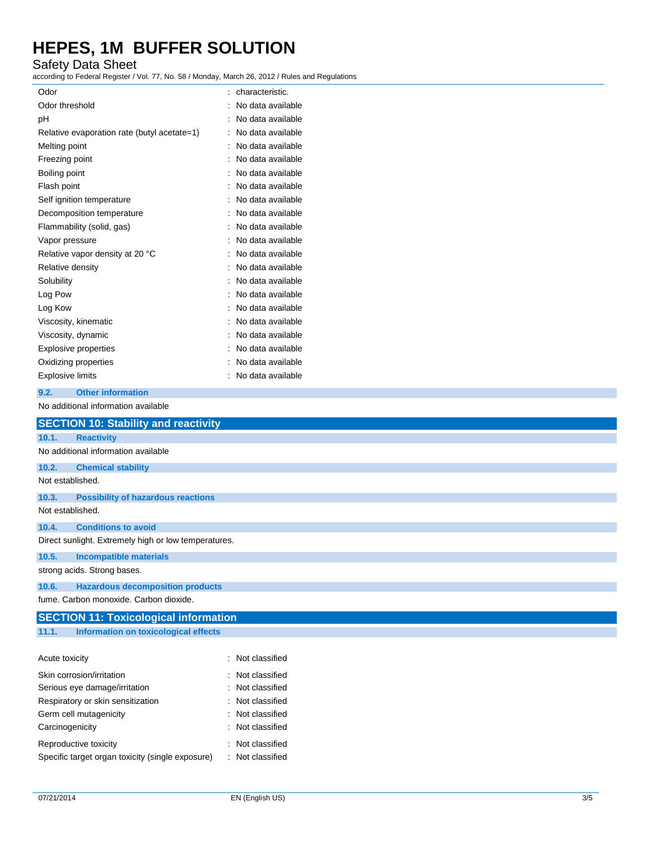### Safety Data Sheet

according to Federal Register / Vol. 77, No. 58 / Monday, March 26, 2012 / Rules and Regulations

| Odor                                        | characteristic.   |
|---------------------------------------------|-------------------|
| Odor threshold                              | No data available |
| рH                                          | No data available |
| Relative evaporation rate (butyl acetate=1) | No data available |
| Melting point                               | No data available |
| Freezing point                              | No data available |
| Boiling point                               | No data available |
| Flash point                                 | No data available |
| Self ignition temperature                   | No data available |
| Decomposition temperature                   | No data available |
| Flammability (solid, gas)                   | No data available |
| Vapor pressure                              | No data available |
| Relative vapor density at 20 °C             | No data available |
| Relative density                            | No data available |
| Solubility                                  | No data available |
| Log Pow                                     | No data available |
| Log Kow                                     | No data available |
| Viscosity, kinematic                        | No data available |
| Viscosity, dynamic                          | No data available |
| <b>Explosive properties</b>                 | No data available |
| Oxidizing properties                        | No data available |
| <b>Explosive limits</b>                     | No data available |

#### **9.2. Other information**

No additional information available

|                                     | <b>SECTION 10: Stability and reactivity</b>          |                  |
|-------------------------------------|------------------------------------------------------|------------------|
| 10.1.<br><b>Reactivity</b>          |                                                      |                  |
| No additional information available |                                                      |                  |
| 10.2.                               | <b>Chemical stability</b>                            |                  |
| Not established.                    |                                                      |                  |
| 10.3.                               | <b>Possibility of hazardous reactions</b>            |                  |
| Not established.                    |                                                      |                  |
| 10.4.                               | <b>Conditions to avoid</b>                           |                  |
|                                     | Direct sunlight. Extremely high or low temperatures. |                  |
| 10.5.                               | <b>Incompatible materials</b>                        |                  |
| strong acids. Strong bases.         |                                                      |                  |
| 10.6.                               | <b>Hazardous decomposition products</b>              |                  |
|                                     | fume. Carbon monoxide. Carbon dioxide.               |                  |
|                                     | <b>SECTION 11: Toxicological information</b>         |                  |
| 11.1.                               | Information on toxicological effects                 |                  |
|                                     |                                                      |                  |
| Acute toxicity                      |                                                      | : Not classified |
| Skin corrosion/irritation           |                                                      | : Not classified |
| Serious eye damage/irritation       |                                                      | : Not classified |
| Respiratory or skin sensitization   |                                                      | Not classified   |
| Germ cell mutagenicity              |                                                      | Not classified   |
| Carcinogenicity                     |                                                      | Not classified   |

Reproductive toxicity **in the case of the CRS** control of the Reproductive toxicity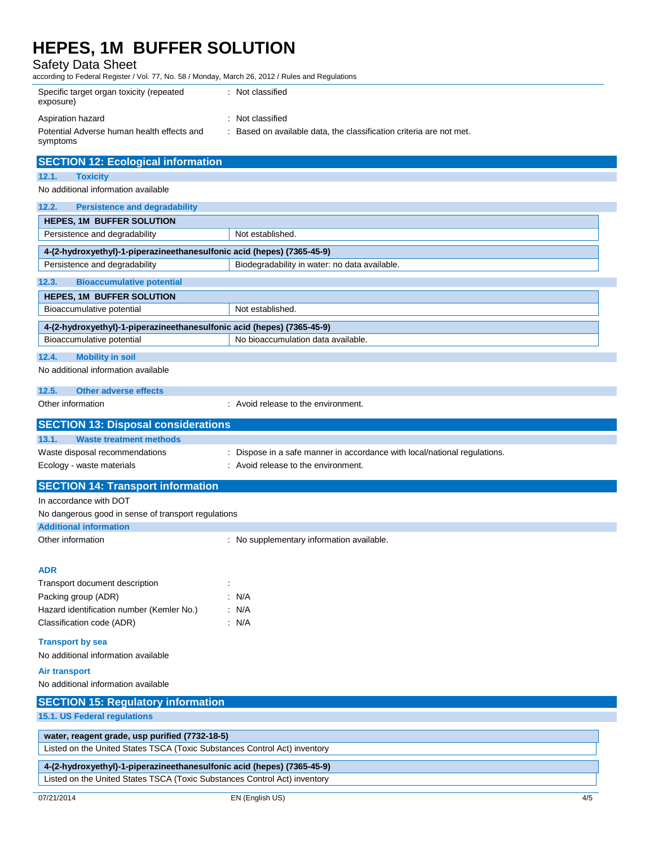|                                                                        | according to Federal Register / Vol. 77, No. 58 / Monday, March 26, 2012 / Rules and Regulations |
|------------------------------------------------------------------------|--------------------------------------------------------------------------------------------------|
| Specific target organ toxicity (repeated<br>exposure)                  | : Not classified                                                                                 |
| Aspiration hazard                                                      | : Not classified                                                                                 |
| Potential Adverse human health effects and<br>symptoms                 | : Based on available data, the classification criteria are not met.                              |
| <b>SECTION 12: Ecological information</b>                              |                                                                                                  |
| 12.1.<br><b>Toxicity</b>                                               |                                                                                                  |
| No additional information available                                    |                                                                                                  |
| 12.2.<br><b>Persistence and degradability</b>                          |                                                                                                  |
| <b>HEPES, 1M BUFFER SOLUTION</b>                                       |                                                                                                  |
| Persistence and degradability                                          | Not established.                                                                                 |
| 4-(2-hydroxyethyl)-1-piperazineethanesulfonic acid (hepes) (7365-45-9) |                                                                                                  |
| Persistence and degradability                                          | Biodegradability in water: no data available.                                                    |
| 12.3.<br><b>Bioaccumulative potential</b>                              |                                                                                                  |
| <b>HEPES, 1M BUFFER SOLUTION</b>                                       |                                                                                                  |
| Bioaccumulative potential                                              | Not established.                                                                                 |
| 4-(2-hydroxyethyl)-1-piperazineethanesulfonic acid (hepes) (7365-45-9) |                                                                                                  |
| Bioaccumulative potential                                              | No bioaccumulation data available.                                                               |
| <b>Mobility in soil</b><br>12.4.                                       |                                                                                                  |
| No additional information available                                    |                                                                                                  |
| 12.5.<br><b>Other adverse effects</b>                                  |                                                                                                  |
| Other information                                                      | : Avoid release to the environment.                                                              |

| [SECTION 13: Disposal considerations] |                                                                           |
|---------------------------------------|---------------------------------------------------------------------------|
| 13.1.<br>Waste treatment methods      |                                                                           |
| Waste disposal recommendations        | : Dispose in a safe manner in accordance with local/national regulations. |
| Ecology - waste materials             | : Avoid release to the environment.                                       |

| <b>SECTION 14: Transport information</b>            |                                           |
|-----------------------------------------------------|-------------------------------------------|
| In accordance with DOT                              |                                           |
| No dangerous good in sense of transport regulations |                                           |
| <b>Additional information</b>                       |                                           |
| Other information                                   | : No supplementary information available. |
|                                                     |                                           |
| <b>ADR</b>                                          |                                           |
| Transport document description                      |                                           |
| Packing group (ADR)                                 | $\therefore$ N/A                          |
| Hazard identification number (Kemler No.)           | : N/A                                     |
| Classification code (ADR)                           | : N/A                                     |
| <b>Transport by sea</b>                             |                                           |
| No additional information available                 |                                           |
| Air transport                                       |                                           |
| No additional information available                 |                                           |
| <b>SECTION 15: Regulatory information</b>           |                                           |

**15.1. US Federal regulations**

| water, reagent grade, usp purified (7732-18-5)                            |
|---------------------------------------------------------------------------|
| Listed on the United States TSCA (Toxic Substances Control Act) inventory |
| 4-(2-hydroxyethyl)-1-piperazineethanesulfonic acid (hepes) (7365-45-9)    |

Listed on the United States TSCA (Toxic Substances Control Act) inventory